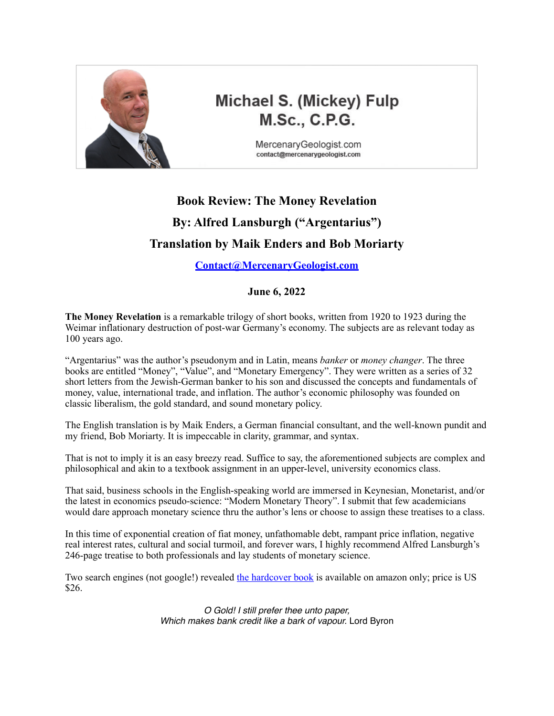

# **Michael S. (Mickey) Fulp M.Sc., C.P.G.**

MercenaryGeologist.com contact@mercenarygeologist.com

## **Book Review: The Money Revelation By: Alfred Lansburgh ("Argentarius") Translation by Maik Enders and Bob Moriarty**

### **[Contact@MercenaryGeologist.com](mailto:Contact@MercenaryGeologist.com)**

### **June 6, 2022**

**The Money Revelation** is a remarkable trilogy of short books, written from 1920 to 1923 during the Weimar inflationary destruction of post-war Germany's economy. The subjects are as relevant today as 100 years ago.

"Argentarius" was the author's pseudonym and in Latin, means *banker* or *money changer*. The three books are entitled "Money", "Value", and "Monetary Emergency". They were written as a series of 32 short letters from the Jewish-German banker to his son and discussed the concepts and fundamentals of money, value, international trade, and inflation. The author's economic philosophy was founded on classic liberalism, the gold standard, and sound monetary policy.

The English translation is by Maik Enders, a German financial consultant, and the well-known pundit and my friend, Bob Moriarty. It is impeccable in clarity, grammar, and syntax.

That is not to imply it is an easy breezy read. Suffice to say, the aforementioned subjects are complex and philosophical and akin to a textbook assignment in an upper-level, university economics class.

That said, business schools in the English-speaking world are immersed in Keynesian, Monetarist, and/or the latest in economics pseudo-science: "Modern Monetary Theory". I submit that few academicians would dare approach monetary science thru the author's lens or choose to assign these treatises to a class.

In this time of exponential creation of fiat money, unfathomable debt, rampant price inflation, negative real interest rates, cultural and social turmoil, and forever wars, I highly recommend Alfred Lansburgh's 246-page treatise to both professionals and lay students of monetary science.

Two search engines (not google!) revealed [the hardcover book](https://www.amazon.com/Money-Revelation-Value-Monetary-Emergency/dp/B09V2HPMLN) is available on amazon only; price is US \$26.

> *O Gold! I still prefer thee unto paper, Which makes bank credit like a bark of vapour.* Lord Byron